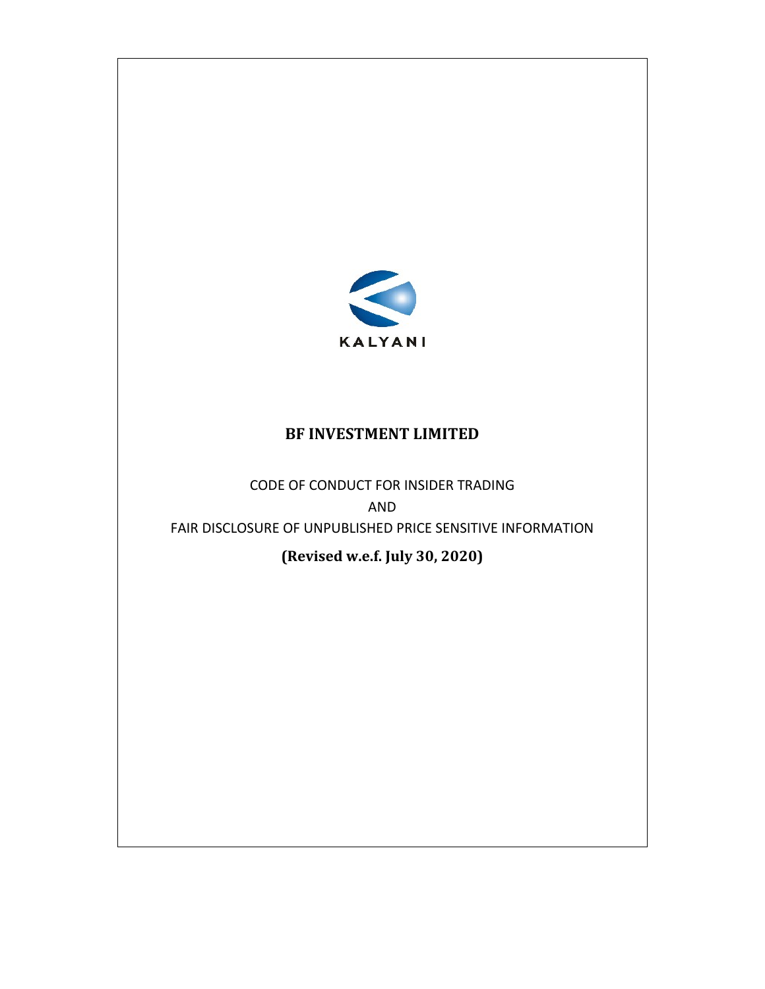

## **BF INVESTMENT LIMITED**

CODE OF CONDUCT FOR INSIDER TRADING AND FAIR DISCLOSURE OF UNPUBLISHED PRICE SENSITIVE INFORMATION

**(Revised w.e.f. July 30, 2020)**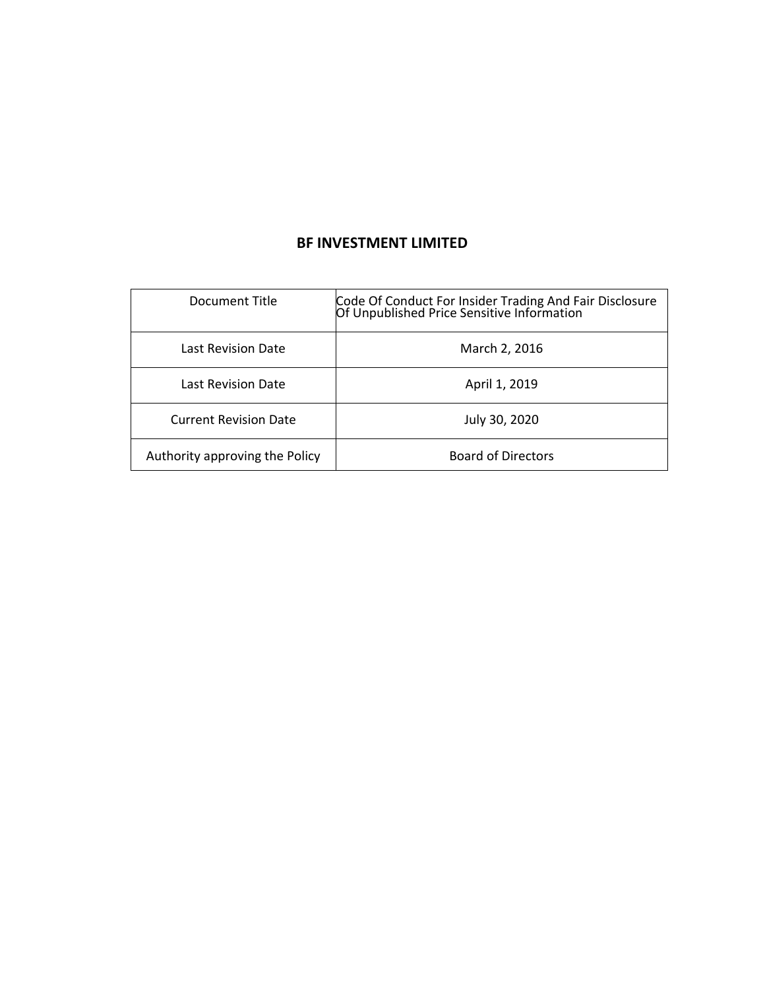# **BF INVESTMENT LIMITED**

| Document Title                 | Code Of Conduct For Insider Trading And Fair Disclosure<br>Of Unpublished Price Sensitive Information |
|--------------------------------|-------------------------------------------------------------------------------------------------------|
| Last Revision Date             | March 2, 2016                                                                                         |
| Last Revision Date             | April 1, 2019                                                                                         |
| <b>Current Revision Date</b>   | July 30, 2020                                                                                         |
| Authority approving the Policy | <b>Board of Directors</b>                                                                             |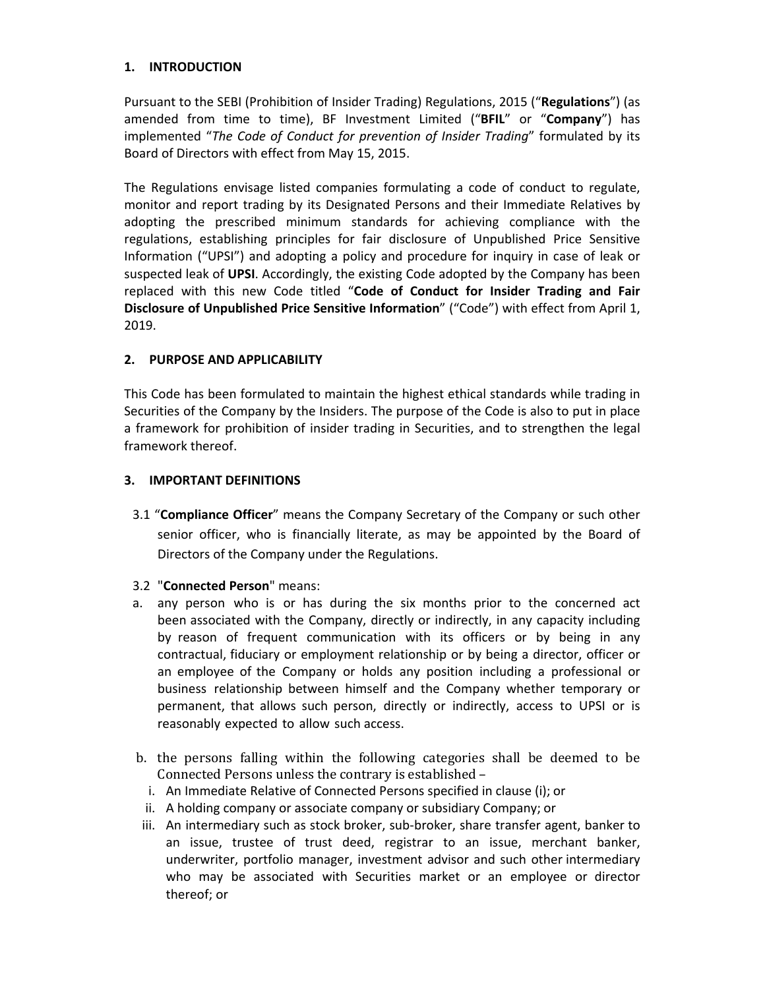## **1. INTRODUCTION**

Pursuant to the SEBI (Prohibition of Insider Trading) Regulations, 2015 ("**Regulations**") (as amended from time to time), BF Investment Limited ("**BFIL**" or "**Company**") has implemented "*The Code of Conduct for prevention of Insider Trading*" formulated by its Board of Directors with effect from May 15, 2015.

The Regulations envisage listed companies formulating a code of conduct to regulate, monitor and report trading by its Designated Persons and their Immediate Relatives by adopting the prescribed minimum standards for achieving compliance with the regulations, establishing principles for fair disclosure of Unpublished Price Sensitive Information ("UPSI") and adopting a policy and procedure for inquiry in case of leak or suspected leak of **UPSI**. Accordingly, the existing Code adopted by the Company has been replaced with this new Code titled "**Code of Conduct for Insider Trading and Fair Disclosure of Unpublished Price Sensitive Information**" ("Code") with effect from April 1, 2019.

### **2. PURPOSE AND APPLICABILITY**

This Code has been formulated to maintain the highest ethical standards while trading in Securities of the Company by the Insiders. The purpose of the Code is also to put in place a framework for prohibition of insider trading in Securities, and to strengthen the legal framework thereof.

### **3. IMPORTANT DEFINITIONS**

3.1 "**Compliance Officer**" means the Company Secretary of the Company or such other senior officer, who is financially literate, as may be appointed by the Board of Directors of the Company under the Regulations.

### 3.2 "**Connected Person**" means:

- a. any person who is or has during the six months prior to the concerned act been associated with the Company, directly or indirectly, in any capacity including by reason of frequent communication with its officers or by being in any contractual, fiduciary or employment relationship or by being a director, officer or an employee of the Company or holds any position including a professional or business relationship between himself and the Company whether temporary or permanent, that allows such person, directly or indirectly, access to UPSI or is reasonably expected to allow such access.
- b. the persons falling within the following categories shall be deemed to be Connected Persons unless the contrary is established –
	- i. An Immediate Relative of Connected Persons specified in clause (i); or
	- ii. A holding company or associate company or subsidiary Company; or
- iii. An intermediary such as stock broker, sub-broker, share transfer agent, banker to an issue, trustee of trust deed, registrar to an issue, merchant banker, underwriter, portfolio manager, investment advisor and such other intermediary who may be associated with Securities market or an employee or director thereof; or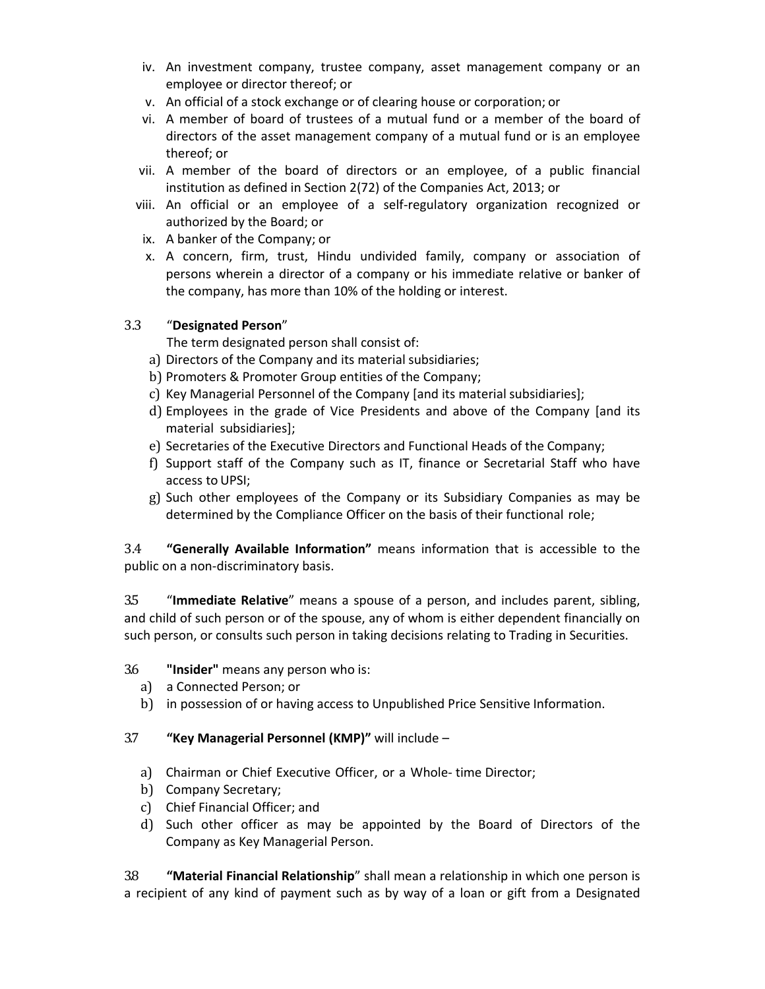- iv. An investment company, trustee company, asset management company or an employee or director thereof; or
- v. An official of a stock exchange or of clearing house or corporation; or
- vi. A member of board of trustees of a mutual fund or a member of the board of directors of the asset management company of a mutual fund or is an employee thereof; or
- vii. A member of the board of directors or an employee, of a public financial institution as defined in Section 2(72) of the Companies Act, 2013; or
- viii. An official or an employee of a self‐regulatory organization recognized or authorized by the Board; or
- ix. A banker of the Company; or
- x. A concern, firm, trust, Hindu undivided family, company or association of persons wherein a director of a company or his immediate relative or banker of the company, has more than 10% of the holding or interest.

## 3.3 "**Designated Person**"

The term designated person shall consist of:

- a) Directors of the Company and its material subsidiaries;
- b) Promoters & Promoter Group entities of the Company;
- c) Key Managerial Personnel of the Company [and its material subsidiaries];
- d) Employees in the grade of Vice Presidents and above of the Company [and its material subsidiaries];
- e) Secretaries of the Executive Directors and Functional Heads of the Company;
- f) Support staff of the Company such as IT, finance or Secretarial Staff who have access to UPSI;
- g) Such other employees of the Company or its Subsidiary Companies as may be determined by the Compliance Officer on the basis of their functional role;

3.4 **"Generally Available Information"** means information that is accessible to the public on a non‐discriminatory basis.

3.5 "**Immediate Relative**" means a spouse of a person, and includes parent, sibling, and child of such person or of the spouse, any of whom is either dependent financially on such person, or consults such person in taking decisions relating to Trading in Securities.

## 3.6 **"Insider"** means any person who is:

- a) a Connected Person; or
- b) in possession of or having access to Unpublished Price Sensitive Information.

## 3.7 **"Key Managerial Personnel (KMP)"** will include –

- a) Chairman or Chief Executive Officer, or a Whole-time Director;
- b) Company Secretary;
- c) Chief Financial Officer; and
- d) Such other officer as may be appointed by the Board of Directors of the Company as Key Managerial Person.

3.8 **"Material Financial Relationship**" shall mean a relationship in which one person is a recipient of any kind of payment such as by way of a loan or gift from a Designated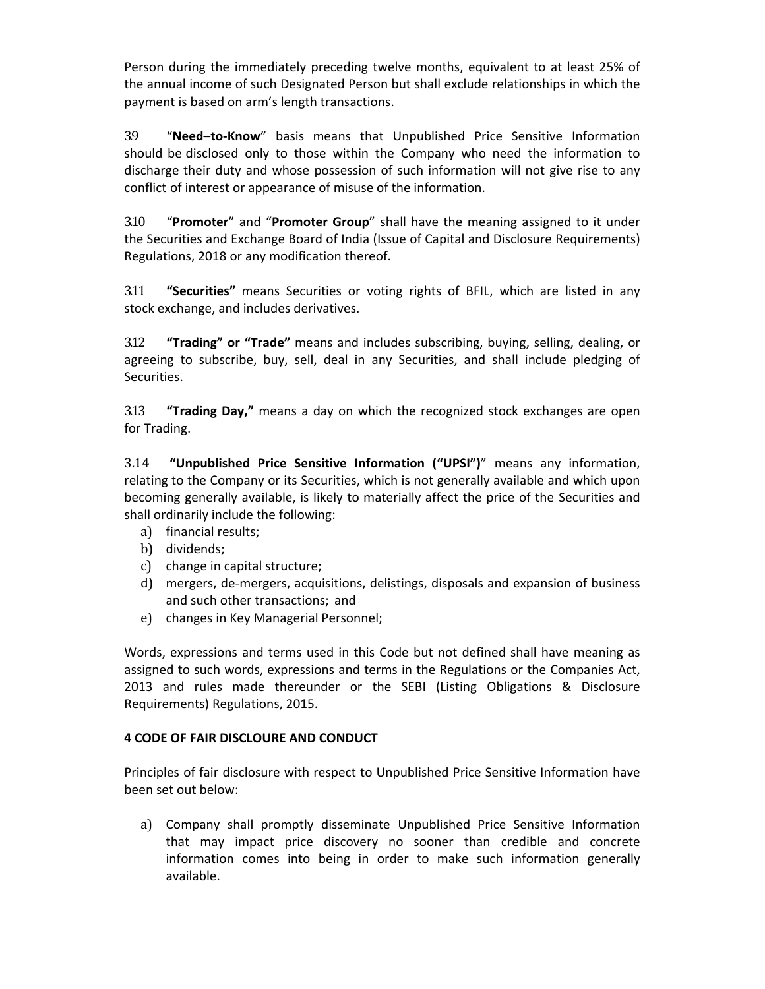Person during the immediately preceding twelve months, equivalent to at least 25% of the annual income of such Designated Person but shall exclude relationships in which the payment is based on arm's length transactions.

3.9 "**Need–to‐Know**" basis means that Unpublished Price Sensitive Information should be disclosed only to those within the Company who need the information to discharge their duty and whose possession of such information will not give rise to any conflict of interest or appearance of misuse of the information.

3.10 "**Promoter**" and "**Promoter Group**" shall have the meaning assigned to it under the Securities and Exchange Board of India (Issue of Capital and Disclosure Requirements) Regulations, 2018 or any modification thereof.

3.11 **"Securities"** means Securities or voting rights of BFIL, which are listed in any stock exchange, and includes derivatives.

3.12 **"Trading" or "Trade"** means and includes subscribing, buying, selling, dealing, or agreeing to subscribe, buy, sell, deal in any Securities, and shall include pledging of Securities.

3.13 **"Trading Day,"** means a day on which the recognized stock exchanges are open for Trading.

3.14 **"Unpublished Price Sensitive Information ("UPSI")**" means any information, relating to the Company or its Securities, which is not generally available and which upon becoming generally available, is likely to materially affect the price of the Securities and shall ordinarily include the following:

- a) financial results;
- b) dividends;
- c) change in capital structure;
- d) mergers, de‐mergers, acquisitions, delistings, disposals and expansion of business and such other transactions; and
- e) changes in Key Managerial Personnel;

Words, expressions and terms used in this Code but not defined shall have meaning as assigned to such words, expressions and terms in the Regulations or the Companies Act, 2013 and rules made thereunder or the SEBI (Listing Obligations & Disclosure Requirements) Regulations, 2015.

### **4 CODE OF FAIR DISCLOURE AND CONDUCT**

Principles of fair disclosure with respect to Unpublished Price Sensitive Information have been set out below:

a) Company shall promptly disseminate Unpublished Price Sensitive Information that may impact price discovery no sooner than credible and concrete information comes into being in order to make such information generally available.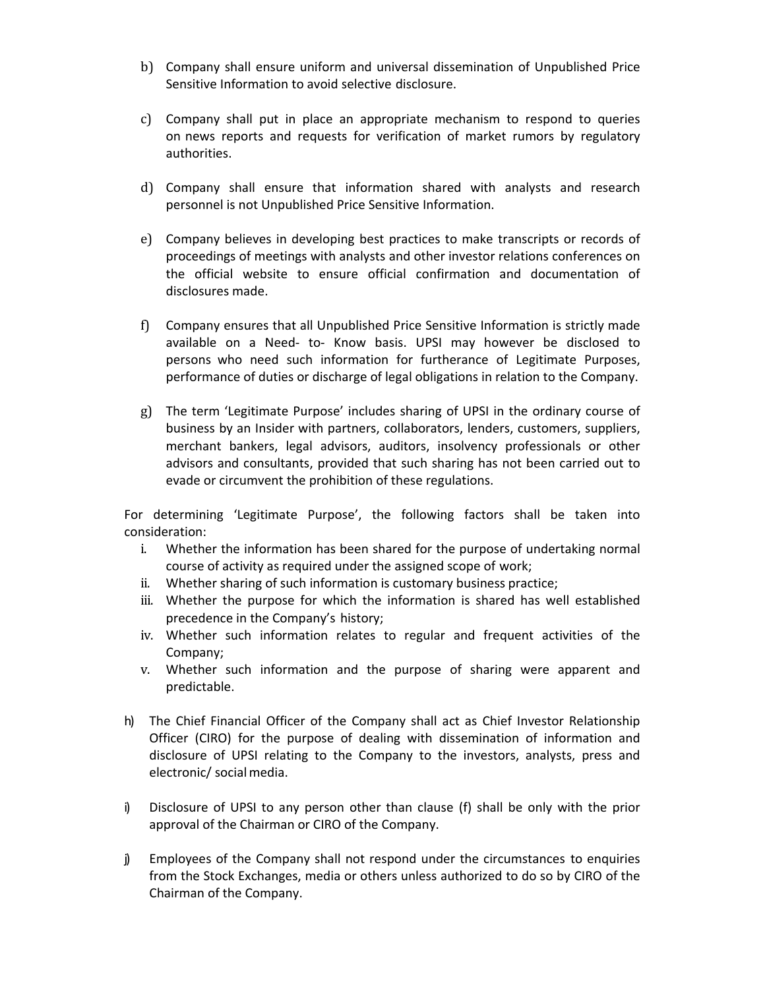- b) Company shall ensure uniform and universal dissemination of Unpublished Price Sensitive Information to avoid selective disclosure.
- c) Company shall put in place an appropriate mechanism to respond to queries on news reports and requests for verification of market rumors by regulatory authorities.
- d) Company shall ensure that information shared with analysts and research personnel is not Unpublished Price Sensitive Information.
- e) Company believes in developing best practices to make transcripts or records of proceedings of meetings with analysts and other investor relations conferences on the official website to ensure official confirmation and documentation of disclosures made.
- f) Company ensures that all Unpublished Price Sensitive Information is strictly made available on a Need‐ to‐ Know basis. UPSI may however be disclosed to persons who need such information for furtherance of Legitimate Purposes, performance of duties or discharge of legal obligations in relation to the Company.
- g) The term 'Legitimate Purpose' includes sharing of UPSI in the ordinary course of business by an Insider with partners, collaborators, lenders, customers, suppliers, merchant bankers, legal advisors, auditors, insolvency professionals or other advisors and consultants, provided that such sharing has not been carried out to evade or circumvent the prohibition of these regulations.

For determining 'Legitimate Purpose', the following factors shall be taken into consideration:

- i. Whether the information has been shared for the purpose of undertaking normal course of activity as required under the assigned scope of work;
- ii. Whether sharing of such information is customary business practice;
- iii. Whether the purpose for which the information is shared has well established precedence in the Company's history;
- iv. Whether such information relates to regular and frequent activities of the Company;
- v. Whether such information and the purpose of sharing were apparent and predictable.
- h) The Chief Financial Officer of the Company shall act as Chief Investor Relationship Officer (CIRO) for the purpose of dealing with dissemination of information and disclosure of UPSI relating to the Company to the investors, analysts, press and electronic/ social media.
- i) Disclosure of UPSI to any person other than clause (f) shall be only with the prior approval of the Chairman or CIRO of the Company.
- j) Employees of the Company shall not respond under the circumstances to enquiries from the Stock Exchanges, media or others unless authorized to do so by CIRO of the Chairman of the Company.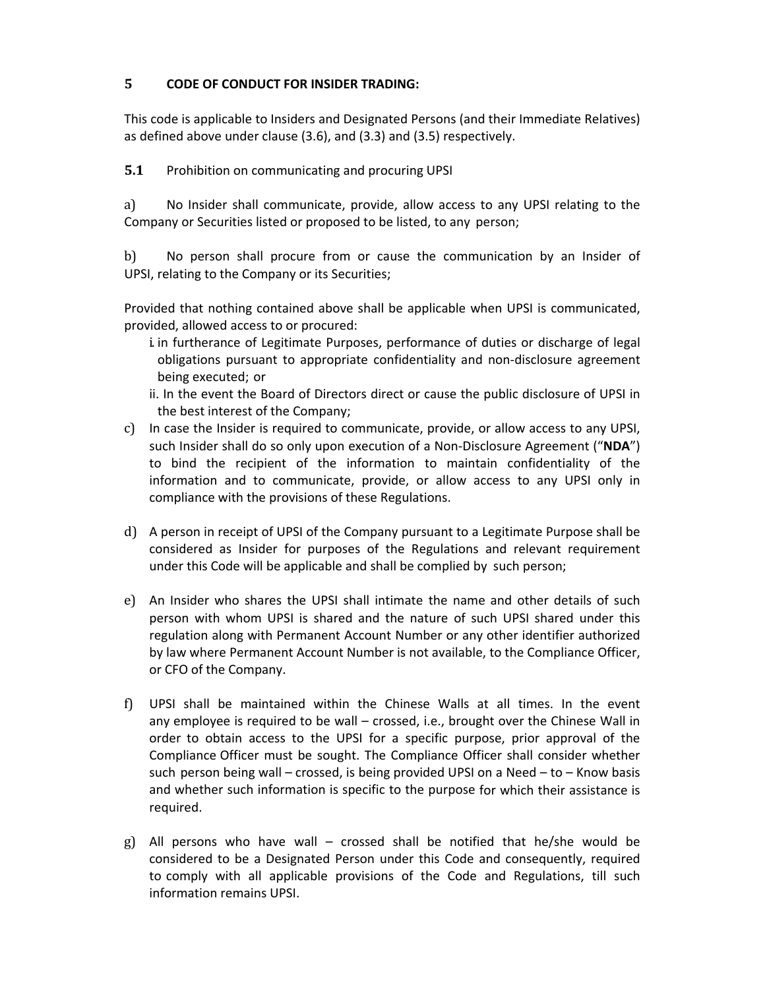## **5 CODE OF CONDUCT FOR INSIDER TRADING:**

This code is applicable to Insiders and Designated Persons (and their Immediate Relatives) as defined above under clause (3.6), and (3.3) and (3.5) respectively.

**5.1** Prohibition on communicating and procuring UPSI

a) No Insider shall communicate, provide, allow access to any UPSI relating to the Company or Securities listed or proposed to be listed, to any person;

b) No person shall procure from or cause the communication by an Insider of UPSI, relating to the Company or its Securities;

Provided that nothing contained above shall be applicable when UPSI is communicated, provided, allowed access to or procured:

- i. in furtherance of Legitimate Purposes, performance of duties or discharge of legal obligations pursuant to appropriate confidentiality and non‐disclosure agreement being executed; or
- ii. In the event the Board of Directors direct or cause the public disclosure of UPSI in the best interest of the Company;
- c) In case the Insider is required to communicate, provide, or allow access to any UPSI, such Insider shall do so only upon execution of a Non‐Disclosure Agreement ("**NDA**") to bind the recipient of the information to maintain confidentiality of the information and to communicate, provide, or allow access to any UPSI only in compliance with the provisions of these Regulations.
- d) A person in receipt of UPSI of the Company pursuant to a Legitimate Purpose shall be considered as Insider for purposes of the Regulations and relevant requirement under this Code will be applicable and shall be complied by such person;
- e) An Insider who shares the UPSI shall intimate the name and other details of such person with whom UPSI is shared and the nature of such UPSI shared under this regulation along with Permanent Account Number or any other identifier authorized by law where Permanent Account Number is not available, to the Compliance Officer, or CFO of the Company.
- f) UPSI shall be maintained within the Chinese Walls at all times. In the event any employee is required to be wall – crossed, i.e., brought over the Chinese Wall in order to obtain access to the UPSI for a specific purpose, prior approval of the Compliance Officer must be sought. The Compliance Officer shall consider whether such person being wall – crossed, is being provided UPSI on a Need – to – Know basis and whether such information is specific to the purpose for which their assistance is required.
- g) All persons who have wall crossed shall be notified that he/she would be considered to be a Designated Person under this Code and consequently, required to comply with all applicable provisions of the Code and Regulations, till such information remains UPSI.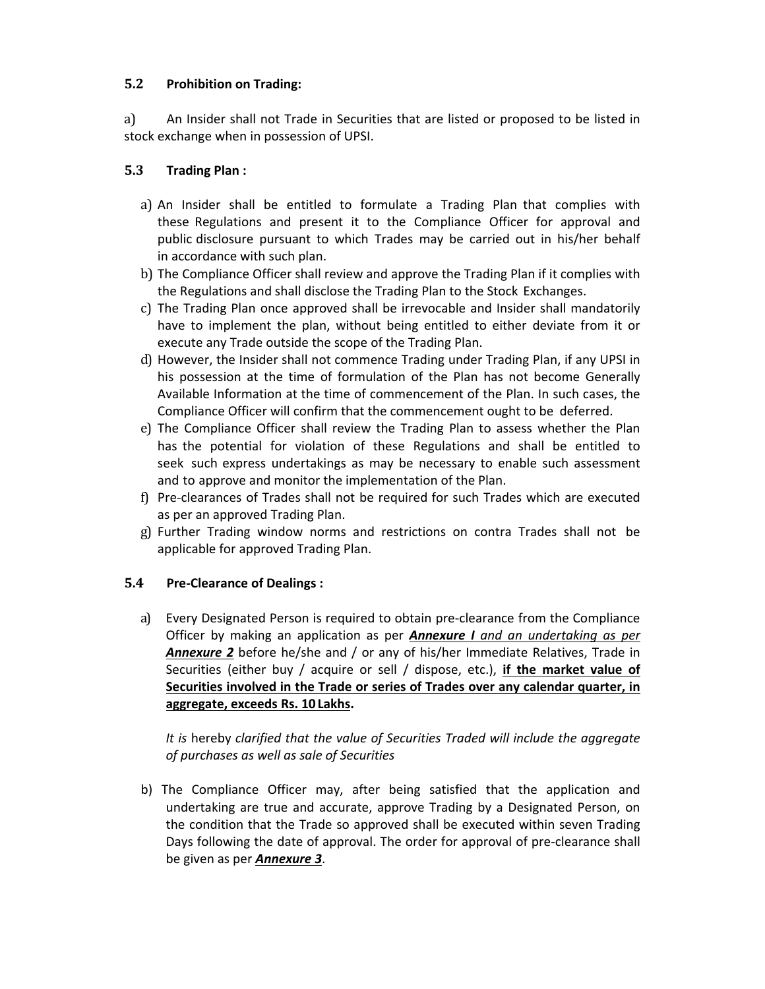## **5.2 Prohibition on Trading:**

a) An Insider shall not Trade in Securities that are listed or proposed to be listed in stock exchange when in possession of UPSI.

## **5.3 Trading Plan :**

- a) An Insider shall be entitled to formulate a Trading Plan that complies with these Regulations and present it to the Compliance Officer for approval and public disclosure pursuant to which Trades may be carried out in his/her behalf in accordance with such plan.
- b) The Compliance Officer shall review and approve the Trading Plan if it complies with the Regulations and shall disclose the Trading Plan to the Stock Exchanges.
- c) The Trading Plan once approved shall be irrevocable and Insider shall mandatorily have to implement the plan, without being entitled to either deviate from it or execute any Trade outside the scope of the Trading Plan.
- d) However, the Insider shall not commence Trading under Trading Plan, if any UPSI in his possession at the time of formulation of the Plan has not become Generally Available Information at the time of commencement of the Plan. In such cases, the Compliance Officer will confirm that the commencement ought to be deferred.
- e) The Compliance Officer shall review the Trading Plan to assess whether the Plan has the potential for violation of these Regulations and shall be entitled to seek such express undertakings as may be necessary to enable such assessment and to approve and monitor the implementation of the Plan.
- f) Pre‐clearances of Trades shall not be required for such Trades which are executed as per an approved Trading Plan.
- g) Further Trading window norms and restrictions on contra Trades shall not be applicable for approved Trading Plan.

## **5.4 Pre‐Clearance of Dealings :**

a) Every Designated Person is required to obtain pre‐clearance from the Compliance Officer by making an application as per *Annexure I and an undertaking as per Annexure 2* before he/she and / or any of his/her Immediate Relatives, Trade in Securities (either buy / acquire or sell / dispose, etc.), **if the market value of Securities involved in the Trade or series of Trades over any calendar quarter, in aggregate, exceeds Rs. 10 Lakhs.**

*It is* hereby *clarified that the value of Securities Traded will include the aggregate of purchases as well as sale of Securities*

b) The Compliance Officer may, after being satisfied that the application and undertaking are true and accurate, approve Trading by a Designated Person, on the condition that the Trade so approved shall be executed within seven Trading Days following the date of approval. The order for approval of pre‐clearance shall be given as per *Annexure 3*.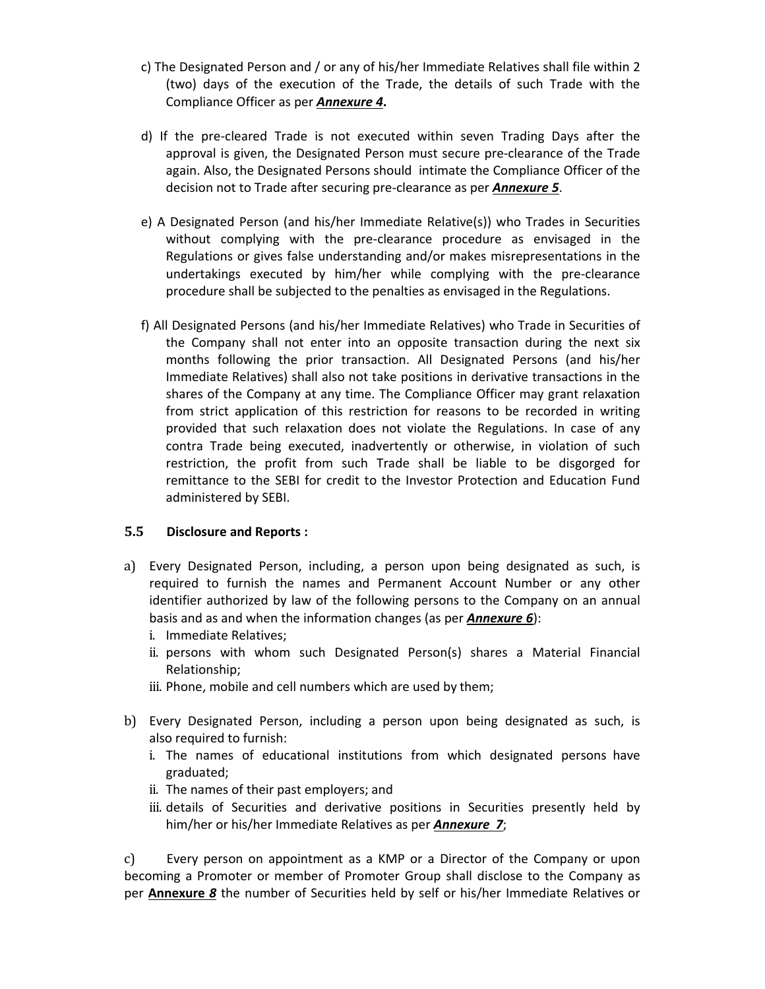- c) The Designated Person and / or any of his/her Immediate Relatives shall file within 2 (two) days of the execution of the Trade, the details of such Trade with the Compliance Officer as per *Annexure 4***.**
- d) If the pre‐cleared Trade is not executed within seven Trading Days after the approval is given, the Designated Person must secure pre-clearance of the Trade again. Also, the Designated Persons should intimate the Compliance Officer of the decision not to Trade after securing pre‐clearance as per *Annexure 5*.
- e) A Designated Person (and his/her Immediate Relative(s)) who Trades in Securities without complying with the pre-clearance procedure as envisaged in the Regulations or gives false understanding and/or makes misrepresentations in the undertakings executed by him/her while complying with the pre‐clearance procedure shall be subjected to the penalties as envisaged in the Regulations.
- f) All Designated Persons (and his/her Immediate Relatives) who Trade in Securities of the Company shall not enter into an opposite transaction during the next six months following the prior transaction. All Designated Persons (and his/her Immediate Relatives) shall also not take positions in derivative transactions in the shares of the Company at any time. The Compliance Officer may grant relaxation from strict application of this restriction for reasons to be recorded in writing provided that such relaxation does not violate the Regulations. In case of any contra Trade being executed, inadvertently or otherwise, in violation of such restriction, the profit from such Trade shall be liable to be disgorged for remittance to the SEBI for credit to the Investor Protection and Education Fund administered by SEBI.

## **5.5 Disclosure and Reports :**

- a) Every Designated Person, including, a person upon being designated as such, is required to furnish the names and Permanent Account Number or any other identifier authorized by law of the following persons to the Company on an annual basis and as and when the information changes (as per *Annexure 6*):
	- i. Immediate Relatives;
	- ii. persons with whom such Designated Person(s) shares a Material Financial Relationship;
	- iii. Phone, mobile and cell numbers which are used by them;
- b) Every Designated Person, including a person upon being designated as such, is also required to furnish:
	- i. The names of educational institutions from which designated persons have graduated;
	- ii. The names of their past employers; and
	- iii. details of Securities and derivative positions in Securities presently held by him/her or his/her Immediate Relatives as per *Annexure 7*;

c) Every person on appointment as a KMP or a Director of the Company or upon becoming a Promoter or member of Promoter Group shall disclose to the Company as per **Annexure** *8* the number of Securities held by self or his/her Immediate Relatives or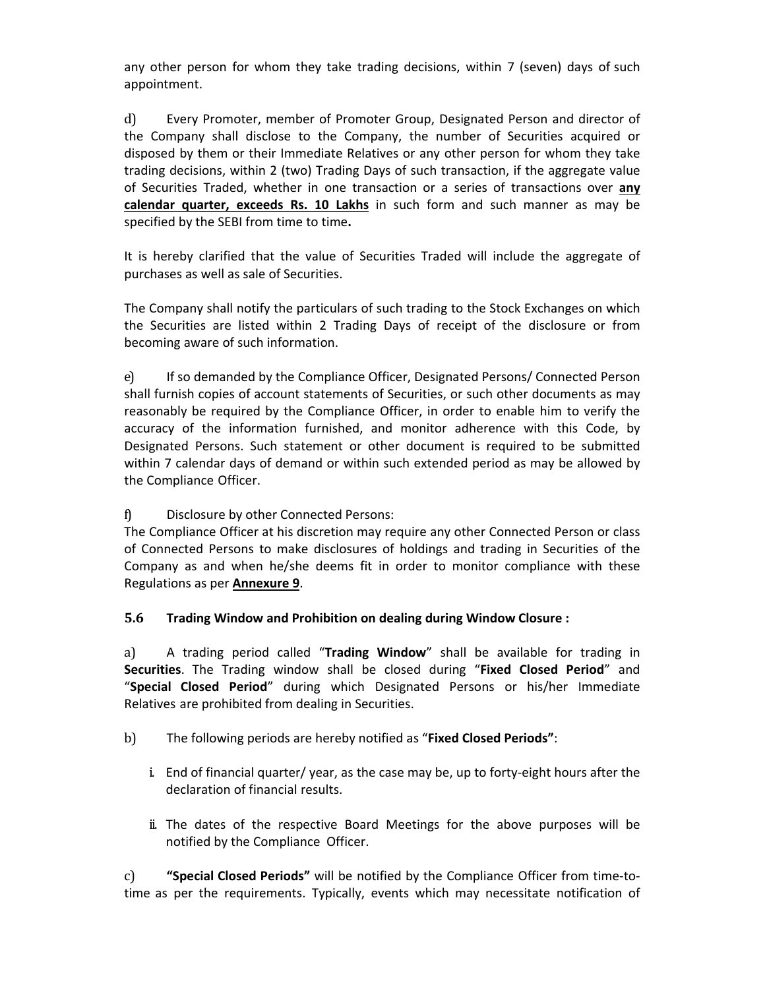any other person for whom they take trading decisions, within 7 (seven) days of such appointment.

d) Every Promoter, member of Promoter Group, Designated Person and director of the Company shall disclose to the Company, the number of Securities acquired or disposed by them or their Immediate Relatives or any other person for whom they take trading decisions, within 2 (two) Trading Days of such transaction, if the aggregate value of Securities Traded, whether in one transaction or a series of transactions over **any calendar quarter, exceeds Rs. 10 Lakhs** in such form and such manner as may be specified by the SEBI from time to time**.**

It is hereby clarified that the value of Securities Traded will include the aggregate of purchases as well as sale of Securities.

The Company shall notify the particulars of such trading to the Stock Exchanges on which the Securities are listed within 2 Trading Days of receipt of the disclosure or from becoming aware of such information.

e) If so demanded by the Compliance Officer, Designated Persons/ Connected Person shall furnish copies of account statements of Securities, or such other documents as may reasonably be required by the Compliance Officer, in order to enable him to verify the accuracy of the information furnished, and monitor adherence with this Code, by Designated Persons. Such statement or other document is required to be submitted within 7 calendar days of demand or within such extended period as may be allowed by the Compliance Officer.

## f) Disclosure by other Connected Persons:

The Compliance Officer at his discretion may require any other Connected Person or class of Connected Persons to make disclosures of holdings and trading in Securities of the Company as and when he/she deems fit in order to monitor compliance with these Regulations as per **Annexure 9**.

**5.6 Trading Window and Prohibition on dealing during Window Closure :**

a) A trading period called "**Trading Window**" shall be available for trading in **Securities**. The Trading window shall be closed during "**Fixed Closed Period**" and "**Special Closed Period**" during which Designated Persons or his/her Immediate Relatives are prohibited from dealing in Securities.

- b) The following periods are hereby notified as "**Fixed Closed Periods"**:
	- i. End of financial quarter/ year, as the case may be, up to forty‐eight hours after the declaration of financial results.
	- ii. The dates of the respective Board Meetings for the above purposes will be notified by the Compliance Officer.

c) **"Special Closed Periods"** will be notified by the Compliance Officer from time‐to‐ time as per the requirements. Typically, events which may necessitate notification of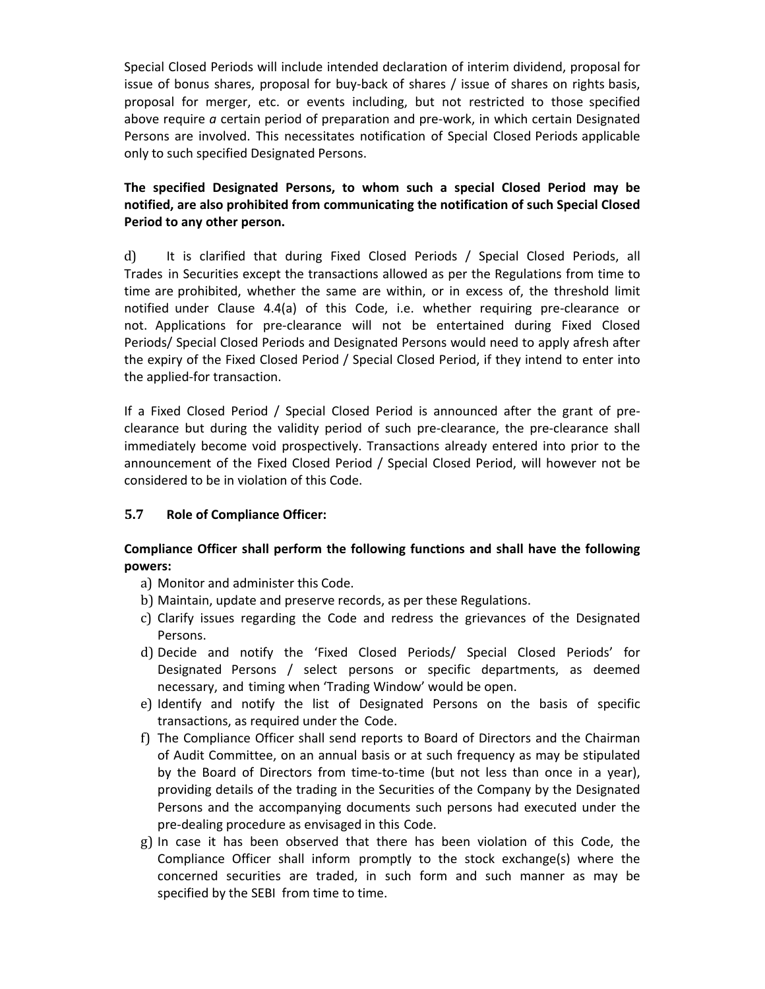Special Closed Periods will include intended declaration of interim dividend, proposal for issue of bonus shares, proposal for buy‐back of shares / issue of shares on rights basis, proposal for merger, etc. or events including, but not restricted to those specified above require *a* certain period of preparation and pre‐work, in which certain Designated Persons are involved. This necessitates notification of Special Closed Periods applicable only to such specified Designated Persons.

## **The specified Designated Persons, to whom such a special Closed Period may be notified, are also prohibited from communicating the notification of such Special Closed Period to any other person.**

d) It is clarified that during Fixed Closed Periods / Special Closed Periods, all Trades in Securities except the transactions allowed as per the Regulations from time to time are prohibited, whether the same are within, or in excess of, the threshold limit notified under Clause 4.4(a) of this Code, i.e. whether requiring pre‐clearance or not. Applications for pre‐clearance will not be entertained during Fixed Closed Periods/ Special Closed Periods and Designated Persons would need to apply afresh after the expiry of the Fixed Closed Period / Special Closed Period, if they intend to enter into the applied‐for transaction.

If a Fixed Closed Period / Special Closed Period is announced after the grant of pre‐ clearance but during the validity period of such pre‐clearance, the pre‐clearance shall immediately become void prospectively. Transactions already entered into prior to the announcement of the Fixed Closed Period / Special Closed Period, will however not be considered to be in violation of this Code.

## **5.7 Role of Compliance Officer:**

## **Compliance Officer shall perform the following functions and shall have the following powers:**

- a) Monitor and administer this Code.
- b) Maintain, update and preserve records, as per these Regulations.
- c) Clarify issues regarding the Code and redress the grievances of the Designated Persons.
- d) Decide and notify the 'Fixed Closed Periods/ Special Closed Periods' for Designated Persons / select persons or specific departments, as deemed necessary, and timing when 'Trading Window' would be open.
- e) Identify and notify the list of Designated Persons on the basis of specific transactions, as required under the Code.
- f) The Compliance Officer shall send reports to Board of Directors and the Chairman of Audit Committee, on an annual basis or at such frequency as may be stipulated by the Board of Directors from time‐to‐time (but not less than once in a year), providing details of the trading in the Securities of the Company by the Designated Persons and the accompanying documents such persons had executed under the pre‐dealing procedure as envisaged in this Code.
- g) In case it has been observed that there has been violation of this Code, the Compliance Officer shall inform promptly to the stock exchange(s) where the concerned securities are traded, in such form and such manner as may be specified by the SEBI from time to time.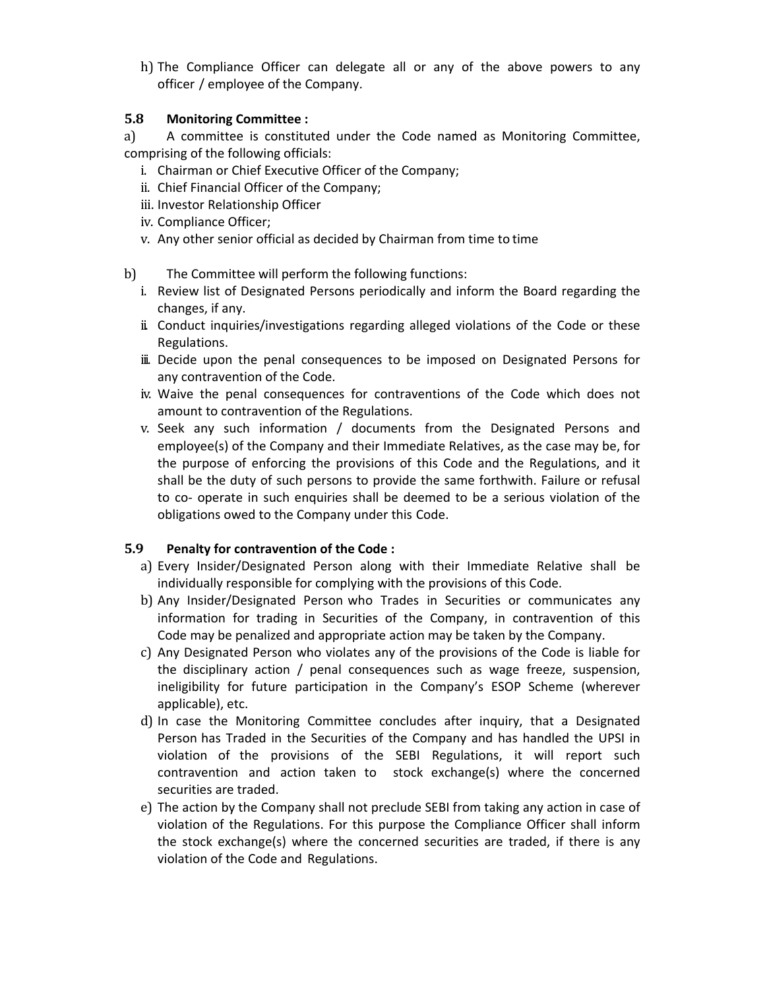h) The Compliance Officer can delegate all or any of the above powers to any officer / employee of the Company.

### **5.8 Monitoring Committee :**

a) A committee is constituted under the Code named as Monitoring Committee, comprising of the following officials:

- i. Chairman or Chief Executive Officer of the Company;
- ii. Chief Financial Officer of the Company;
- iii. Investor Relationship Officer
- iv. Compliance Officer;
- v. Any other senior official as decided by Chairman from time to time
- b) The Committee will perform the following functions:
	- i. Review list of Designated Persons periodically and inform the Board regarding the changes, if any.
	- ii. Conduct inquiries/investigations regarding alleged violations of the Code or these Regulations.
	- iii. Decide upon the penal consequences to be imposed on Designated Persons for any contravention of the Code.
	- iv. Waive the penal consequences for contraventions of the Code which does not amount to contravention of the Regulations.
	- v. Seek any such information / documents from the Designated Persons and employee(s) of the Company and their Immediate Relatives, as the case may be, for the purpose of enforcing the provisions of this Code and the Regulations, and it shall be the duty of such persons to provide the same forthwith. Failure or refusal to co‐ operate in such enquiries shall be deemed to be a serious violation of the obligations owed to the Company under this Code.

## **5.9 Penalty for contravention of the Code :**

- a) Every Insider/Designated Person along with their Immediate Relative shall be individually responsible for complying with the provisions of this Code.
- b) Any Insider/Designated Person who Trades in Securities or communicates any information for trading in Securities of the Company, in contravention of this Code may be penalized and appropriate action may be taken by the Company.
- c) Any Designated Person who violates any of the provisions of the Code is liable for the disciplinary action / penal consequences such as wage freeze, suspension, ineligibility for future participation in the Company's ESOP Scheme (wherever applicable), etc.
- d) In case the Monitoring Committee concludes after inquiry, that a Designated Person has Traded in the Securities of the Company and has handled the UPSI in violation of the provisions of the SEBI Regulations, it will report such contravention and action taken to stock exchange(s) where the concerned securities are traded.
- e) The action by the Company shall not preclude SEBI from taking any action in case of violation of the Regulations. For this purpose the Compliance Officer shall inform the stock exchange(s) where the concerned securities are traded, if there is any violation of the Code and Regulations.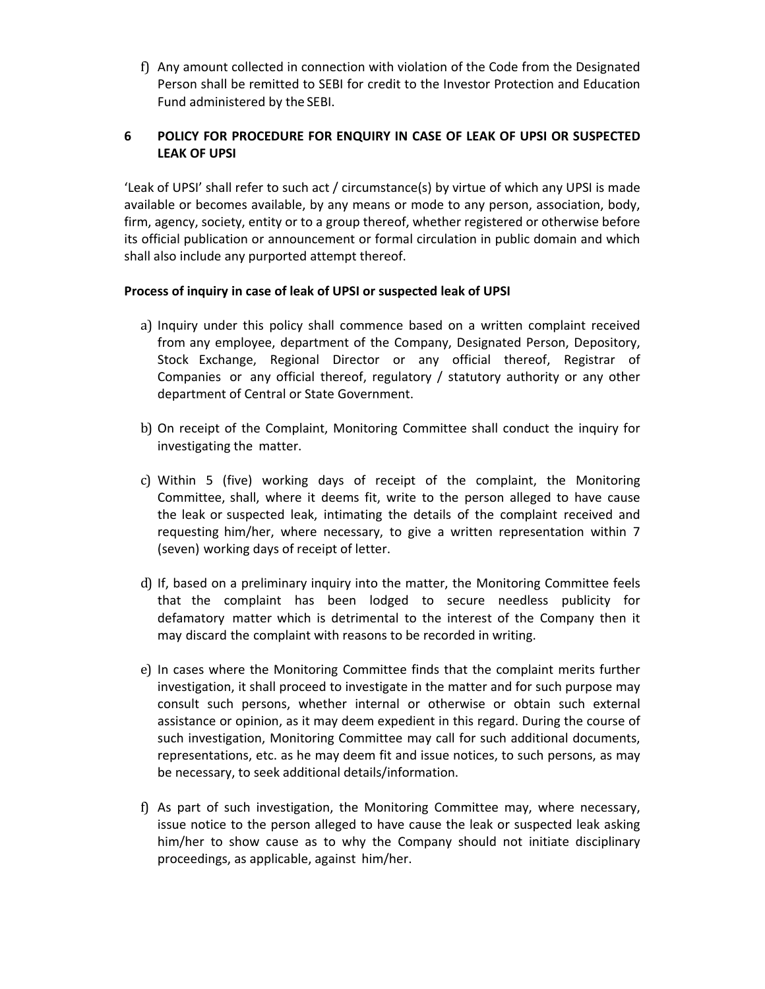f) Any amount collected in connection with violation of the Code from the Designated Person shall be remitted to SEBI for credit to the Investor Protection and Education Fund administered by the SEBI.

## **6 POLICY FOR PROCEDURE FOR ENQUIRY IN CASE OF LEAK OF UPSI OR SUSPECTED LEAK OF UPSI**

'Leak of UPSI' shall refer to such act / circumstance(s) by virtue of which any UPSI is made available or becomes available, by any means or mode to any person, association, body, firm, agency, society, entity or to a group thereof, whether registered or otherwise before its official publication or announcement or formal circulation in public domain and which shall also include any purported attempt thereof.

### **Process of inquiry in case of leak of UPSI or suspected leak of UPSI**

- a) Inquiry under this policy shall commence based on a written complaint received from any employee, department of the Company, Designated Person, Depository, Stock Exchange, Regional Director or any official thereof, Registrar of Companies or any official thereof, regulatory / statutory authority or any other department of Central or State Government.
- b) On receipt of the Complaint, Monitoring Committee shall conduct the inquiry for investigating the matter.
- c) Within 5 (five) working days of receipt of the complaint, the Monitoring Committee, shall, where it deems fit, write to the person alleged to have cause the leak or suspected leak, intimating the details of the complaint received and requesting him/her, where necessary, to give a written representation within 7 (seven) working days of receipt of letter.
- d) If, based on a preliminary inquiry into the matter, the Monitoring Committee feels that the complaint has been lodged to secure needless publicity for defamatory matter which is detrimental to the interest of the Company then it may discard the complaint with reasons to be recorded in writing.
- e) In cases where the Monitoring Committee finds that the complaint merits further investigation, it shall proceed to investigate in the matter and for such purpose may consult such persons, whether internal or otherwise or obtain such external assistance or opinion, as it may deem expedient in this regard. During the course of such investigation, Monitoring Committee may call for such additional documents, representations, etc. as he may deem fit and issue notices, to such persons, as may be necessary, to seek additional details/information.
- f) As part of such investigation, the Monitoring Committee may, where necessary, issue notice to the person alleged to have cause the leak or suspected leak asking him/her to show cause as to why the Company should not initiate disciplinary proceedings, as applicable, against him/her.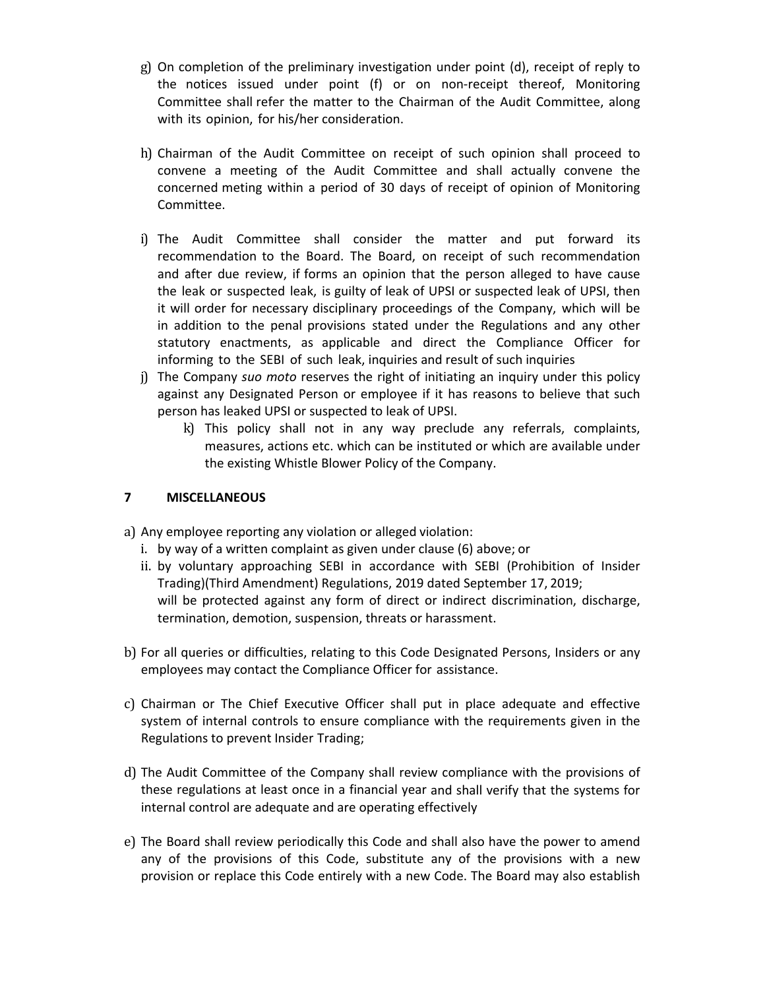- g) On completion of the preliminary investigation under point (d), receipt of reply to the notices issued under point (f) or on non-receipt thereof, Monitoring Committee shall refer the matter to the Chairman of the Audit Committee, along with its opinion, for his/her consideration.
- h) Chairman of the Audit Committee on receipt of such opinion shall proceed to convene a meeting of the Audit Committee and shall actually convene the concerned meting within a period of 30 days of receipt of opinion of Monitoring Committee.
- i) The Audit Committee shall consider the matter and put forward its recommendation to the Board. The Board, on receipt of such recommendation and after due review, if forms an opinion that the person alleged to have cause the leak or suspected leak, is guilty of leak of UPSI or suspected leak of UPSI, then it will order for necessary disciplinary proceedings of the Company, which will be in addition to the penal provisions stated under the Regulations and any other statutory enactments, as applicable and direct the Compliance Officer for informing to the SEBI of such leak, inquiries and result of such inquiries
- j) The Company *suo moto* reserves the right of initiating an inquiry under this policy against any Designated Person or employee if it has reasons to believe that such person has leaked UPSI or suspected to leak of UPSI.
	- k) This policy shall not in any way preclude any referrals, complaints, measures, actions etc. which can be instituted or which are available under the existing Whistle Blower Policy of the Company.

## **7 MISCELLANEOUS**

- a) Any employee reporting any violation or alleged violation:
	- i. by way of a written complaint as given under clause (6) above; or
	- ii. by voluntary approaching SEBI in accordance with SEBI (Prohibition of Insider Trading)(Third Amendment) Regulations, 2019 dated September 17, 2019; will be protected against any form of direct or indirect discrimination, discharge, termination, demotion, suspension, threats or harassment.
- b) For all queries or difficulties, relating to this Code Designated Persons, Insiders or any employees may contact the Compliance Officer for assistance.
- c) Chairman or The Chief Executive Officer shall put in place adequate and effective system of internal controls to ensure compliance with the requirements given in the Regulations to prevent Insider Trading;
- d) The Audit Committee of the Company shall review compliance with the provisions of these regulations at least once in a financial year and shall verify that the systems for internal control are adequate and are operating effectively
- e) The Board shall review periodically this Code and shall also have the power to amend any of the provisions of this Code, substitute any of the provisions with a new provision or replace this Code entirely with a new Code. The Board may also establish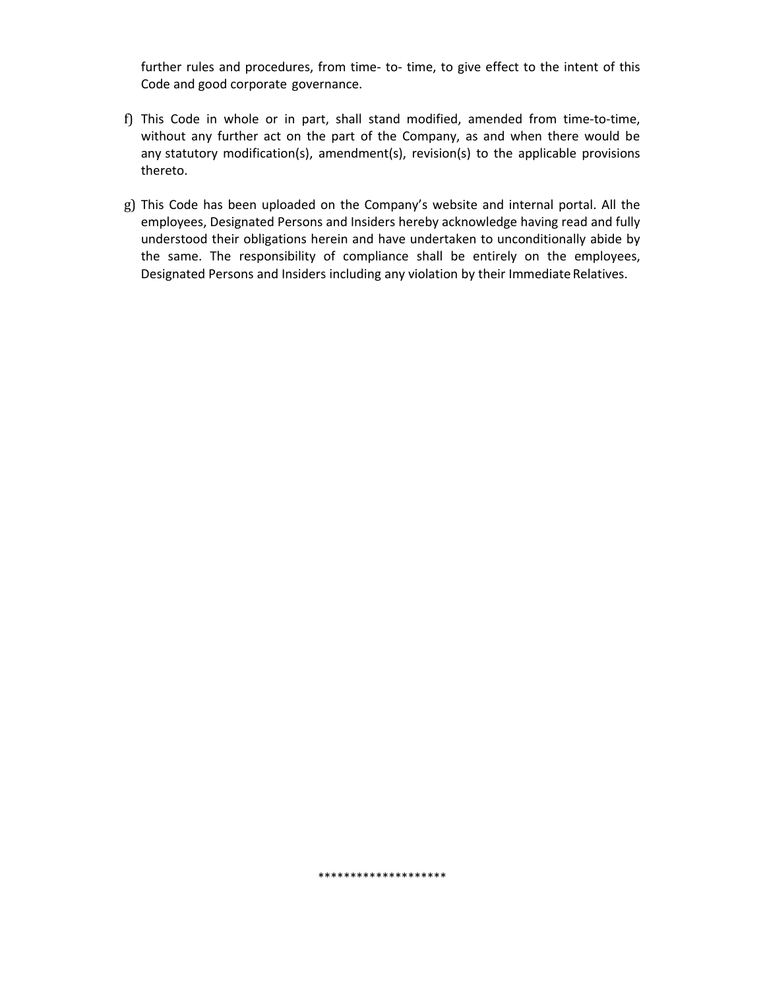further rules and procedures, from time- to- time, to give effect to the intent of this Code and good corporate governance.

- f) This Code in whole or in part, shall stand modified, amended from time‐to‐time, without any further act on the part of the Company, as and when there would be any statutory modification(s), amendment(s), revision(s) to the applicable provisions thereto.
- g) This Code has been uploaded on the Company's website and internal portal. All the employees, Designated Persons and Insiders hereby acknowledge having read and fully understood their obligations herein and have undertaken to unconditionally abide by the same. The responsibility of compliance shall be entirely on the employees, Designated Persons and Insiders including any violation by their Immediate Relatives.

\*\*\*\*\*\*\*\*\*\*\*\*\*\*\*\*\*\*\*\*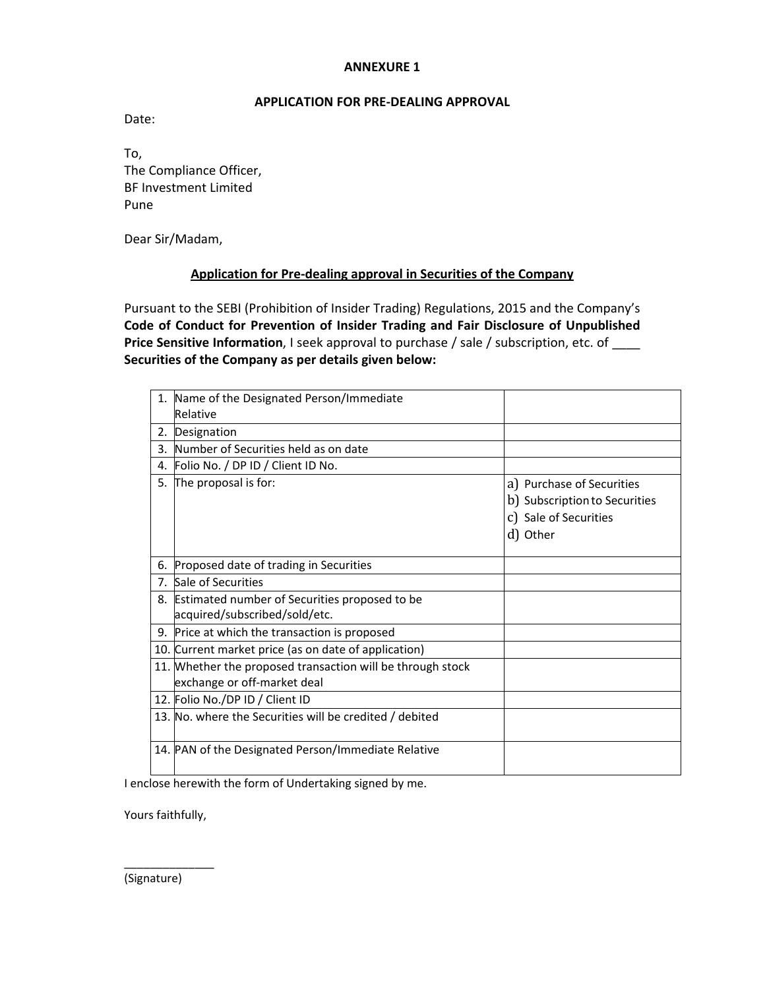#### **APPLICATION FOR PRE‐DEALING APPROVAL**

Date:

To, The Compliance Officer, BF Investment Limited Pune

Dear Sir/Madam,

### **Application for Pre‐dealing approval in Securities of the Company**

Pursuant to the SEBI (Prohibition of Insider Trading) Regulations, 2015 and the Company's **Code of Conduct for Prevention of Insider Trading and Fair Disclosure of Unpublished Price Sensitive Information**, I seek approval to purchase / sale / subscription, etc. of \_\_\_\_ **Securities of the Company as per details given below:**

| 1.             | Name of the Designated Person/Immediate                    |                                                                                                 |
|----------------|------------------------------------------------------------|-------------------------------------------------------------------------------------------------|
|                | Relative                                                   |                                                                                                 |
| 2.             | Designation                                                |                                                                                                 |
| 3.             | Number of Securities held as on date                       |                                                                                                 |
| 4.             | Folio No. / DP ID / Client ID No.                          |                                                                                                 |
| 5.             | The proposal is for:                                       | a) Purchase of Securities<br>b) Subscription to Securities<br>c) Sale of Securities<br>d) Other |
| 6.             | Proposed date of trading in Securities                     |                                                                                                 |
| 7 <sub>1</sub> | Sale of Securities                                         |                                                                                                 |
| 8.             | Estimated number of Securities proposed to be              |                                                                                                 |
|                | acquired/subscribed/sold/etc.                              |                                                                                                 |
| 9.             | Price at which the transaction is proposed                 |                                                                                                 |
|                | 10. Current market price (as on date of application)       |                                                                                                 |
|                | 11. Whether the proposed transaction will be through stock |                                                                                                 |
|                | exchange or off-market deal                                |                                                                                                 |
|                | 12. Folio No./DP ID / Client ID                            |                                                                                                 |
|                | 13. No. where the Securities will be credited / debited    |                                                                                                 |
|                | 14. PAN of the Designated Person/Immediate Relative        |                                                                                                 |

I enclose herewith the form of Undertaking signed by me.

Yours faithfully,

\_\_\_\_\_\_\_\_\_\_\_\_\_\_

(Signature)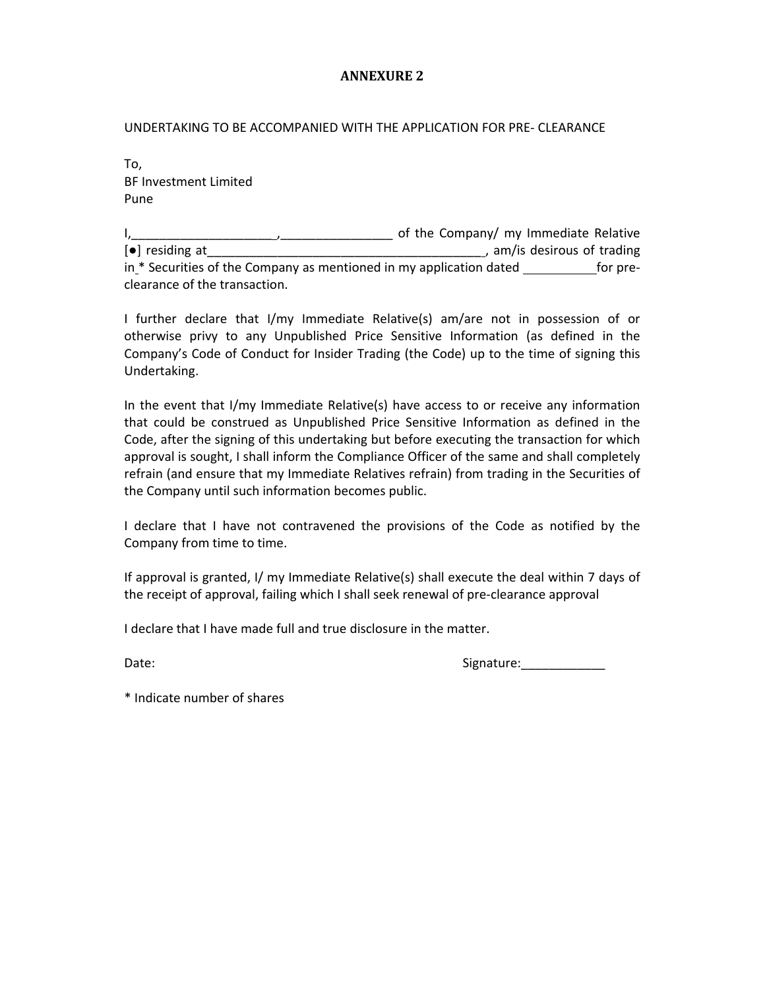UNDERTAKING TO BE ACCOMPANIED WITH THE APPLICATION FOR PRE‐ CLEARANCE

To, BF Investment Limited Pune

I,\_\_\_\_\_\_\_\_\_\_\_\_\_\_\_\_\_\_\_\_ ,\_\_\_\_\_\_\_\_\_\_\_\_\_\_\_\_ of the Company/ my Immediate Relative [●] residing at\_\_\_\_\_\_\_\_\_\_\_\_\_\_\_\_\_\_\_\_\_\_\_\_\_\_\_\_\_\_\_\_\_\_\_\_\_\_\_ , am/is desirous of trading in \* Securities of the Company as mentioned in my application dated for pre‐ clearance of the transaction.

I further declare that I/my Immediate Relative(s) am/are not in possession of or otherwise privy to any Unpublished Price Sensitive Information (as defined in the Company's Code of Conduct for Insider Trading (the Code) up to the time of signing this Undertaking.

In the event that I/my Immediate Relative(s) have access to or receive any information that could be construed as Unpublished Price Sensitive Information as defined in the Code, after the signing of this undertaking but before executing the transaction for which approval is sought, I shall inform the Compliance Officer of the same and shall completely refrain (and ensure that my Immediate Relatives refrain) from trading in the Securities of the Company until such information becomes public.

I declare that I have not contravened the provisions of the Code as notified by the Company from time to time.

If approval is granted, I/ my Immediate Relative(s) shall execute the deal within 7 days of the receipt of approval, failing which I shall seek renewal of pre‐clearance approval

I declare that I have made full and true disclosure in the matter.

Date: Signature:\_\_\_\_\_\_\_\_\_\_\_\_

\* Indicate number of shares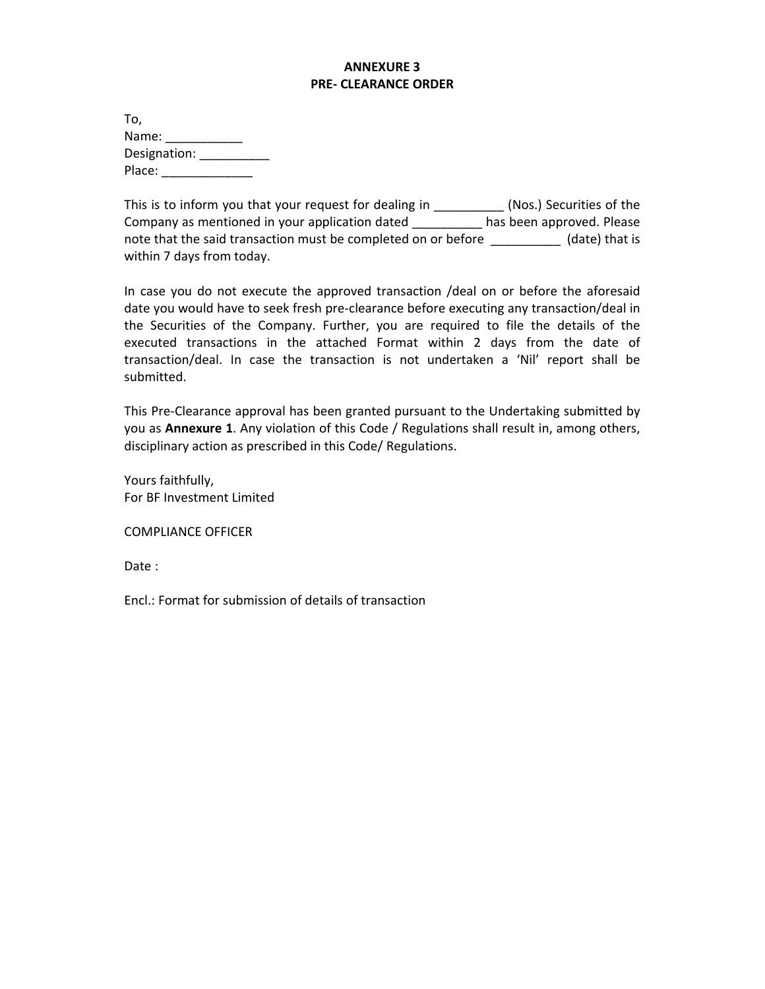### **ANNEXURE 3 PRE‐ CLEARANCE ORDER**

| To,          |  |
|--------------|--|
| Name:        |  |
| Designation: |  |
| Place:       |  |

This is to inform you that your request for dealing in \_\_\_\_\_\_\_\_\_\_\_ (Nos.) Securities of the Company as mentioned in your application dated \_\_\_\_\_\_\_\_\_\_ has been approved. Please note that the said transaction must be completed on or before \_\_\_\_\_\_\_\_\_\_\_\_ (date) that is within 7 days from today.

In case you do not execute the approved transaction /deal on or before the aforesaid date you would have to seek fresh pre‐clearance before executing any transaction/deal in the Securities of the Company. Further, you are required to file the details of the executed transactions in the attached Format within 2 days from the date of transaction/deal. In case the transaction is not undertaken a 'Nil' report shall be submitted.

This Pre‐Clearance approval has been granted pursuant to the Undertaking submitted by you as **Annexure 1**. Any violation of this Code / Regulations shall result in, among others, disciplinary action as prescribed in this Code/ Regulations.

Yours faithfully, For BF Investment Limited

COMPLIANCE OFFICER

Date :

Encl.: Format for submission of details of transaction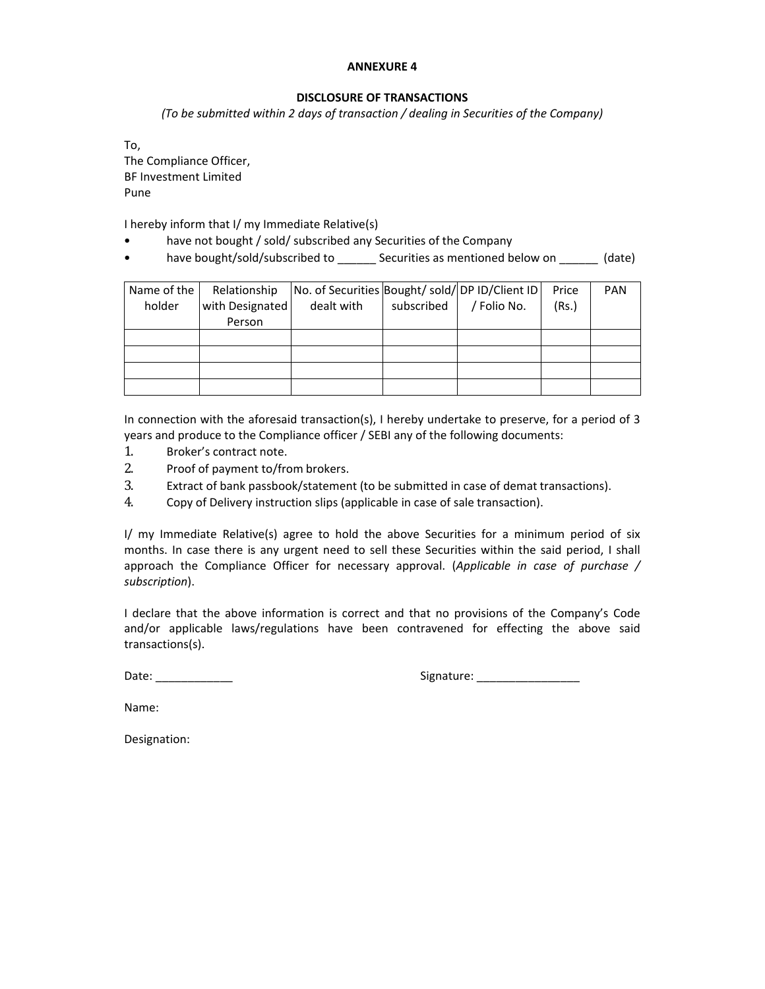#### **DISCLOSURE OF TRANSACTIONS**

*(To be submitted within 2 days of transaction / dealing in Securities of the Company)*

To, The Compliance Officer, BF Investment Limited Pune

I hereby inform that I/ my Immediate Relative(s)

- have not bought / sold/ subscribed any Securities of the Company
- have bought/sold/subscribed to \_\_\_\_\_\_ Securities as mentioned below on \_\_\_\_\_\_ (date)

| Name of the | Relationship    | No. of Securities Bought/ sold/ DP ID/Client ID |            |             | Price | <b>PAN</b> |
|-------------|-----------------|-------------------------------------------------|------------|-------------|-------|------------|
| holder      | with Designated | dealt with                                      | subscribed | / Folio No. | (Rs.) |            |
|             | Person          |                                                 |            |             |       |            |
|             |                 |                                                 |            |             |       |            |
|             |                 |                                                 |            |             |       |            |
|             |                 |                                                 |            |             |       |            |
|             |                 |                                                 |            |             |       |            |

In connection with the aforesaid transaction(s), I hereby undertake to preserve, for a period of 3 years and produce to the Compliance officer / SEBI any of the following documents:

- 1. Broker's contract note.
- 2. Proof of payment to/from brokers.
- 3. Extract of bank passbook/statement (to be submitted in case of demat transactions).
- 4. Copy of Delivery instruction slips (applicable in case of sale transaction).

I/ my Immediate Relative(s) agree to hold the above Securities for a minimum period of six months. In case there is any urgent need to sell these Securities within the said period, I shall approach the Compliance Officer for necessary approval. (*Applicable in case of purchase / subscription*).

I declare that the above information is correct and that no provisions of the Company's Code and/or applicable laws/regulations have been contravened for effecting the above said transactions(s).

Date: \_\_\_\_\_\_\_\_\_\_\_\_ Signature: \_\_\_\_\_\_\_\_\_\_\_\_\_\_\_\_

Name:

Designation: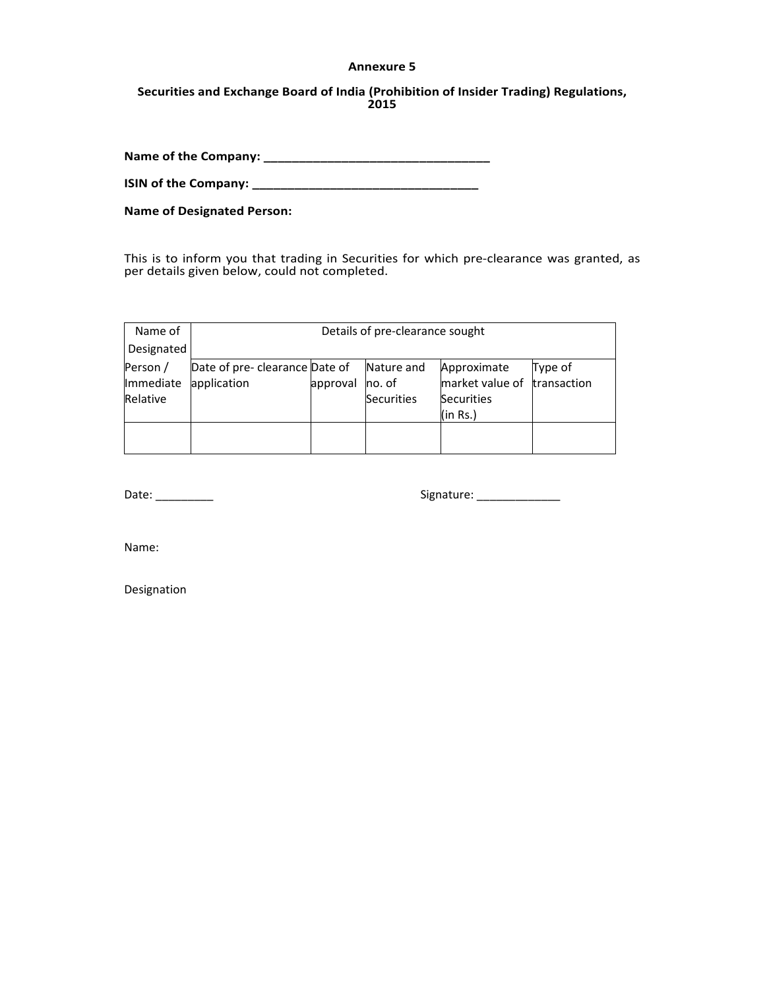#### **Annexure 5**

#### **Securities and Exchange Board of India (Prohibition of Insider Trading) Regulations, 2015**

**Name of the Company: \_\_\_\_\_\_\_\_\_\_\_\_\_\_\_\_\_\_\_\_\_\_\_\_\_\_\_\_\_\_\_\_**

**ISIN of the Company: \_\_\_\_\_\_\_\_\_\_\_\_\_\_\_\_\_\_\_\_\_\_\_\_\_\_\_\_\_\_\_\_**

**Name of Designated Person:**

This is to inform you that trading in Securities for which pre‐clearance was granted, as per details given below, could not completed.

| Name of    | Details of pre-clearance sought                                        |                 |                   |                             |  |  |  |  |  |  |
|------------|------------------------------------------------------------------------|-----------------|-------------------|-----------------------------|--|--|--|--|--|--|
| Designated |                                                                        |                 |                   |                             |  |  |  |  |  |  |
| Person /   | Date of pre- clearance Date of<br>Nature and<br>Approximate<br>Type of |                 |                   |                             |  |  |  |  |  |  |
| Immediate  | application                                                            | approval no. of |                   | market value of transaction |  |  |  |  |  |  |
| Relative   |                                                                        |                 | <b>Securities</b> | <b>Securities</b>           |  |  |  |  |  |  |
|            |                                                                        |                 |                   | (in Rs.)                    |  |  |  |  |  |  |
|            |                                                                        |                 |                   |                             |  |  |  |  |  |  |
|            |                                                                        |                 |                   |                             |  |  |  |  |  |  |

Date: \_\_\_\_\_\_\_\_\_ Signature: \_\_\_\_\_\_\_\_\_\_\_\_\_

Name:

Designation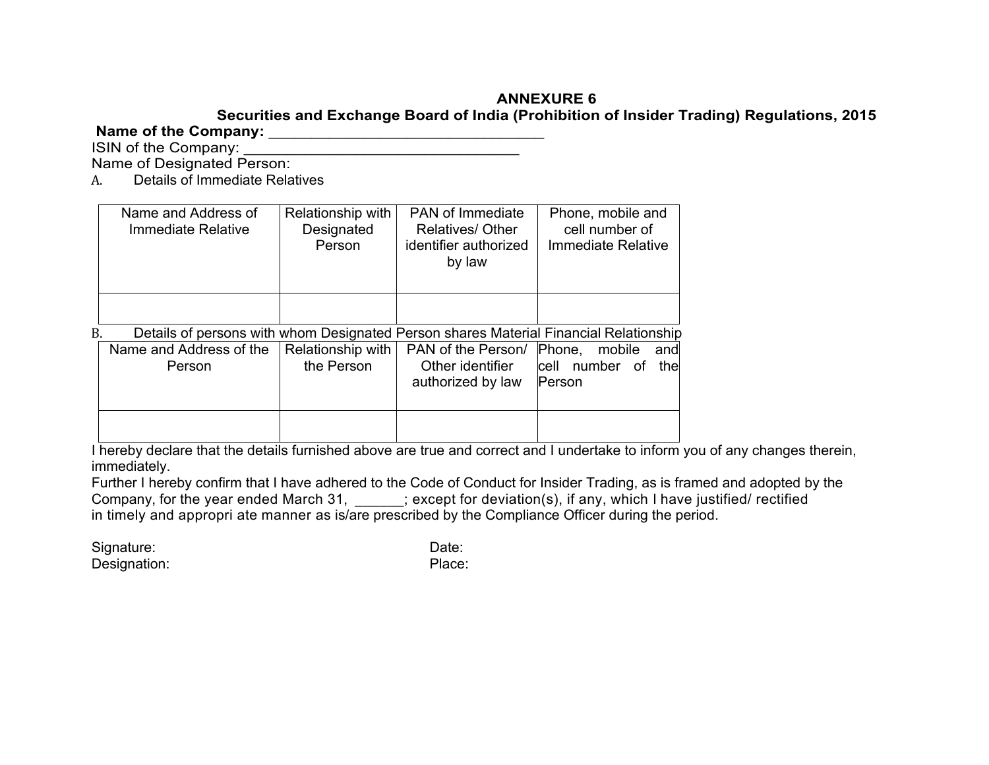## **Securities and Exchange Board of India (Prohibition of Insider Trading) Regulations, 2015**

# **Name of the Company:** \_\_\_\_\_\_\_\_\_\_\_\_\_\_\_\_\_\_\_\_\_\_\_\_\_\_\_\_\_\_\_\_

ISIN of the Company: Name of Designated Person:

A. Details of Immediate Relatives

|    | Name and Address of<br>Immediate Relative                                             | Relationship with<br>Designated<br>Person | <b>PAN of Immediate</b><br><b>Relatives/ Other</b><br>identifier authorized<br>by law | Phone, mobile and<br>cell number of<br><b>Immediate Relative</b> |  |  |  |
|----|---------------------------------------------------------------------------------------|-------------------------------------------|---------------------------------------------------------------------------------------|------------------------------------------------------------------|--|--|--|
| B. | Details of persons with whom Designated Person shares Material Financial Relationship |                                           |                                                                                       |                                                                  |  |  |  |
|    |                                                                                       |                                           |                                                                                       |                                                                  |  |  |  |
|    | Name and Address of the                                                               | Relationship with                         | PAN of the Person/ Phone,                                                             | mobile<br>andl                                                   |  |  |  |
|    | Person                                                                                | the Person                                | Other identifier                                                                      | cell<br>number<br>the<br>of                                      |  |  |  |
|    |                                                                                       |                                           | authorized by law                                                                     | <b>Person</b>                                                    |  |  |  |
|    |                                                                                       |                                           |                                                                                       |                                                                  |  |  |  |
|    |                                                                                       |                                           |                                                                                       |                                                                  |  |  |  |
|    |                                                                                       |                                           |                                                                                       |                                                                  |  |  |  |

I hereby declare that the details furnished above are true and correct and I undertake to inform you of any changes therein, immediately.

Further I hereby confirm that I have adhered to the Code of Conduct for Insider Trading, as is framed and adopted by the Company, for the year ended March 31, \_\_\_\_\_\_; except for deviation(s), if any, which I have justified/ rectified in timely and appropri ate manner as is/are prescribed by the Compliance Officer during the period.

Signature: Date: Date: Date: Date: Date: Date: Date: Date: Date: Date: Date: Date: Date: Date: Date: Date: Date: Date: Date: Date: Date: Date: Date: Date: Date: Date: Date: Date: Date: Date: Date: Date: Date: Date: Date: D Designation: Place: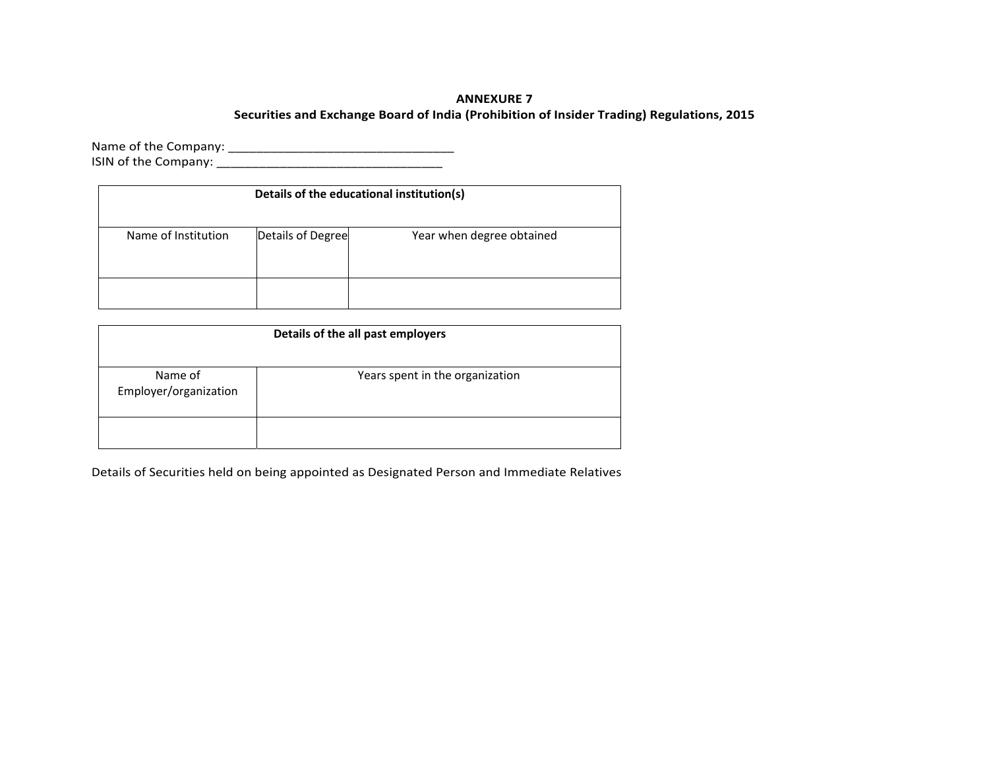#### **Securities and Exchange Board of India (Prohibition of Insider Trading) Regulations, 2015**

Name of the Company: \_\_\_\_\_\_\_\_\_\_\_\_\_\_\_\_\_\_\_\_\_\_\_\_\_\_\_\_\_\_\_\_ ISIN of the Company: \_\_\_\_\_\_\_\_\_\_\_\_\_\_\_\_\_\_\_\_\_\_\_\_\_\_\_\_\_\_\_\_

| Details of the educational institution(s) |                   |                           |  |  |  |  |  |  |  |
|-------------------------------------------|-------------------|---------------------------|--|--|--|--|--|--|--|
| Name of Institution                       | Details of Degree | Year when degree obtained |  |  |  |  |  |  |  |
|                                           |                   |                           |  |  |  |  |  |  |  |

| Details of the all past employers |                                 |  |  |  |  |  |  |  |
|-----------------------------------|---------------------------------|--|--|--|--|--|--|--|
| Name of<br>Employer/organization  | Years spent in the organization |  |  |  |  |  |  |  |
|                                   |                                 |  |  |  |  |  |  |  |

Details of Securities held on being appointed as Designated Person and Immediate Relatives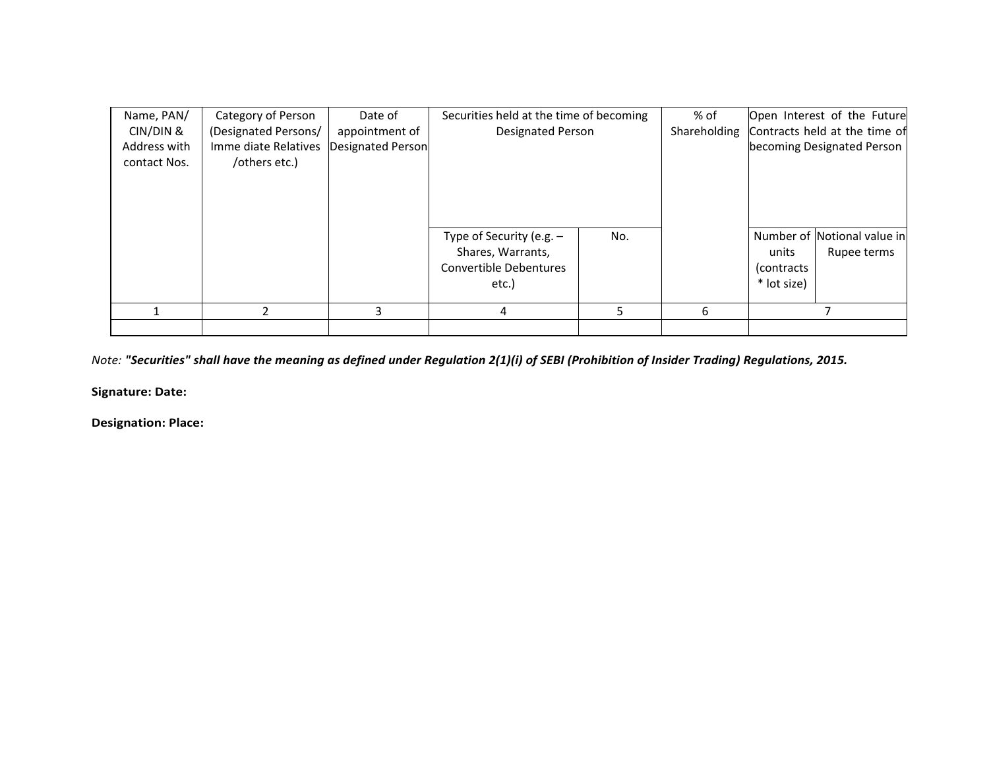| Name, PAN/<br>CIN/DIN &<br>Address with<br>contact Nos. | Category of Person<br>(Designated Persons/<br>Imme diate Relatives<br>/others etc.) | Date of<br>appointment of<br>Designated Person | Securities held at the time of becoming<br><b>Designated Person</b>                       |     | % of<br>Shareholding |                                     | Open Interest of the Future<br>Contracts held at the time of<br>becoming Designated Person |
|---------------------------------------------------------|-------------------------------------------------------------------------------------|------------------------------------------------|-------------------------------------------------------------------------------------------|-----|----------------------|-------------------------------------|--------------------------------------------------------------------------------------------|
|                                                         |                                                                                     |                                                | Type of Security (e.g. $-$<br>Shares, Warrants,<br><b>Convertible Debentures</b><br>etc.) | No. |                      | units<br>(contracts)<br>* lot size) | Number of Notional value in<br>Rupee terms                                                 |
|                                                         |                                                                                     |                                                | 4                                                                                         | 5.  | 6                    |                                     |                                                                                            |
|                                                         |                                                                                     |                                                |                                                                                           |     |                      |                                     |                                                                                            |

Note: "Securities" shall have the meaning as defined under Regulation 2(1)(i) of SEBI (Prohibition of Insider Trading) Regulations, 2015.

**Signature: Date:**

**Designation: Place:**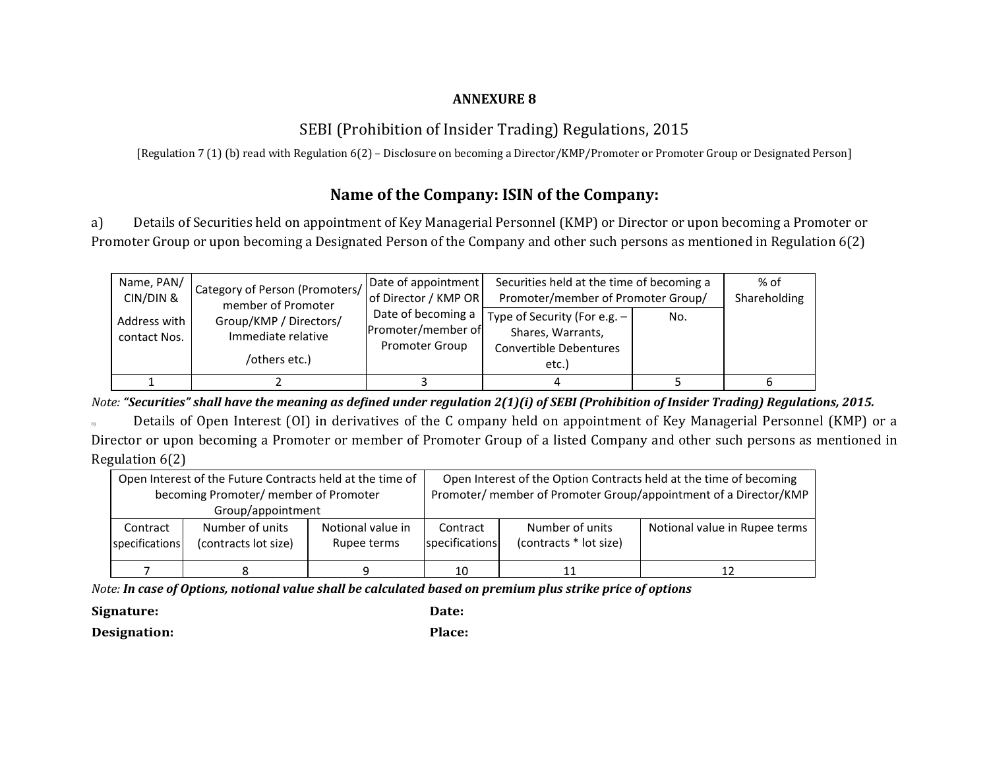# SEBI (Prohibition of Insider Trading) Regulations, 2015

[Regulation 7 (1) (b) read with Regulation 6(2) – Disclosure on becoming <sup>a</sup> Director/KMP/Promoter or Promoter Group or Designated Person]

# **Name of the Company: ISIN of the Company:**

a) Details of Securities held on appointment of Key Managerial Personnel (KMP) or Director or upon becoming <sup>a</sup> Promoter or Promoter Group or upon becoming <sup>a</sup> Designated Person of the Company and other such persons as mentioned in Regulation 6(2)

| Name, PAN/<br>CIN/DIN &      | Category of Person (Promoters/<br>member of Promoter          | Date of appointment<br>of Director / KMP OR                       | Securities held at the time of becoming a<br>Promoter/member of Promoter Group/        | % of<br>Shareholding |   |
|------------------------------|---------------------------------------------------------------|-------------------------------------------------------------------|----------------------------------------------------------------------------------------|----------------------|---|
| Address with<br>contact Nos. | Group/KMP / Directors/<br>Immediate relative<br>/others etc.) | Date of becoming a<br>Promoter/member of<br><b>Promoter Group</b> | Type of Security (For e.g. $-$<br>Shares, Warrants,<br>Convertible Debentures<br>etc.) | No.                  |   |
|                              |                                                               |                                                                   |                                                                                        |                      | 6 |

Note: "Securities" shall have the meaning as defined under regulation 2(1)(i) of SEBI (Prohibition of Insider Trading) Regulations, 2015.

b) Details of Open Interest (OI) in derivatives of the C ompany held on appointment of Key Managerial Personnel (KMP) or <sup>a</sup> Director or upon becoming <sup>a</sup> Promoter or member of Promoter Group of <sup>a</sup> listed Company and other such persons as mentioned in Regulation 6(2)

|                | Open Interest of the Future Contracts held at the time of |  | Open Interest of the Option Contracts held at the time of becoming |                                                                  |                               |  |  |
|----------------|-----------------------------------------------------------|--|--------------------------------------------------------------------|------------------------------------------------------------------|-------------------------------|--|--|
|                | becoming Promoter/ member of Promoter                     |  |                                                                    | Promoter/ member of Promoter Group/appointment of a Director/KMP |                               |  |  |
|                | Group/appointment                                         |  |                                                                    |                                                                  |                               |  |  |
| Contract       | Notional value in<br>Number of units                      |  | Contract                                                           | Number of units                                                  | Notional value in Rupee terms |  |  |
| specifications | (contracts lot size)                                      |  | specifications                                                     | (contracts * lot size)                                           |                               |  |  |
|                |                                                           |  |                                                                    |                                                                  |                               |  |  |
|                |                                                           |  | 10                                                                 |                                                                  |                               |  |  |

Note: In case of Options, notional value shall be calculated based on premium plus strike price of options

**Signature: Date:**

**Designation: Place:**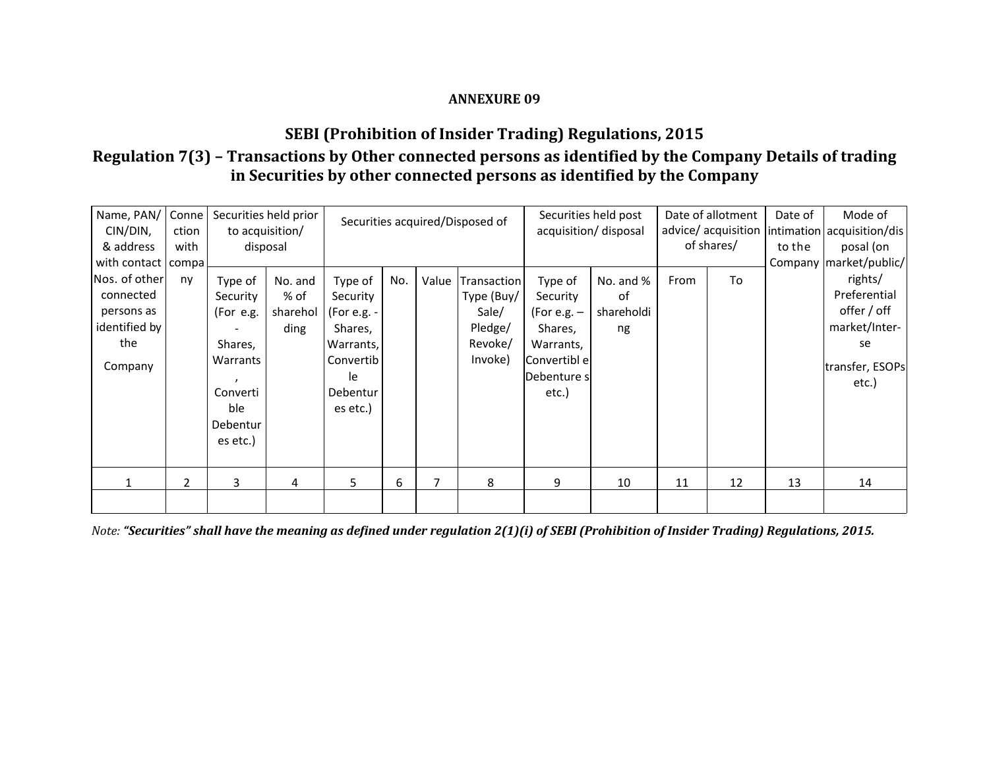# **SEBI (Prohibition of Insider Trading) Regulations, 2015**

# **Regulation 7(3) – Transactions by Other connected persons as identified by the Company Details of trading in Securities by other connected persons as identified by the Company**

| Name, PAN/<br>CIN/DIN,<br>& address                                                                   | Conne<br>ction<br>with |                                                                                                    | Securities held prior<br>to acquisition/<br>disposal | Securities acquired/Disposed of                                                                       |     |       | Securities held post<br>acquisition/ disposal                       |                                                                                                         | Date of allotment<br>advice/ acquisition   intimation   acquisition/dis  <br>of shares/ |      | Date of<br>to the | Mode of<br>posal (on |                                                                                                                       |
|-------------------------------------------------------------------------------------------------------|------------------------|----------------------------------------------------------------------------------------------------|------------------------------------------------------|-------------------------------------------------------------------------------------------------------|-----|-------|---------------------------------------------------------------------|---------------------------------------------------------------------------------------------------------|-----------------------------------------------------------------------------------------|------|-------------------|----------------------|-----------------------------------------------------------------------------------------------------------------------|
| with contact   compa<br> Nos. of other <br>connected<br>persons as<br>identified by<br>the<br>Company | nv                     | Type of<br>Security<br>(For e.g.<br>Shares,<br>Warrants<br>Converti<br>ble<br>Debentur<br>es etc.) | No. and<br>% of<br>sharehol<br>ding                  | Type of<br>Security<br>(For e.g. -<br>Shares,<br>Warrants,<br>Convertib<br>le<br>Debentur<br>es etc.) | No. | Value | Transaction<br>Type (Buy/<br>Sale/<br>Pledge/<br>Revoke/<br>Invoke) | Type of<br>Security<br>(For e.g. $-$<br>Shares,<br>Warrants,<br>Convertibl el<br>lDebenture sl<br>etc.) | No. and %<br>0f<br>shareholdi<br>ng                                                     | From | To                |                      | Company   market/public/<br>rights/<br>Preferential<br>offer / off<br>market/Inter-<br>se<br>transfer, ESOPs<br>etc.) |
|                                                                                                       | 2                      | 3                                                                                                  | $\overline{4}$                                       | 5.                                                                                                    | 6   | 7     | 8                                                                   | 9                                                                                                       | 10                                                                                      | 11   | 12                | 13                   | 14                                                                                                                    |
|                                                                                                       |                        |                                                                                                    |                                                      |                                                                                                       |     |       |                                                                     |                                                                                                         |                                                                                         |      |                   |                      |                                                                                                                       |

Note: "Securities" shall have the meaning as defined under regulation 2(1)(i) of SEBI (Prohibition of Insider Trading) Regulations, 2015.